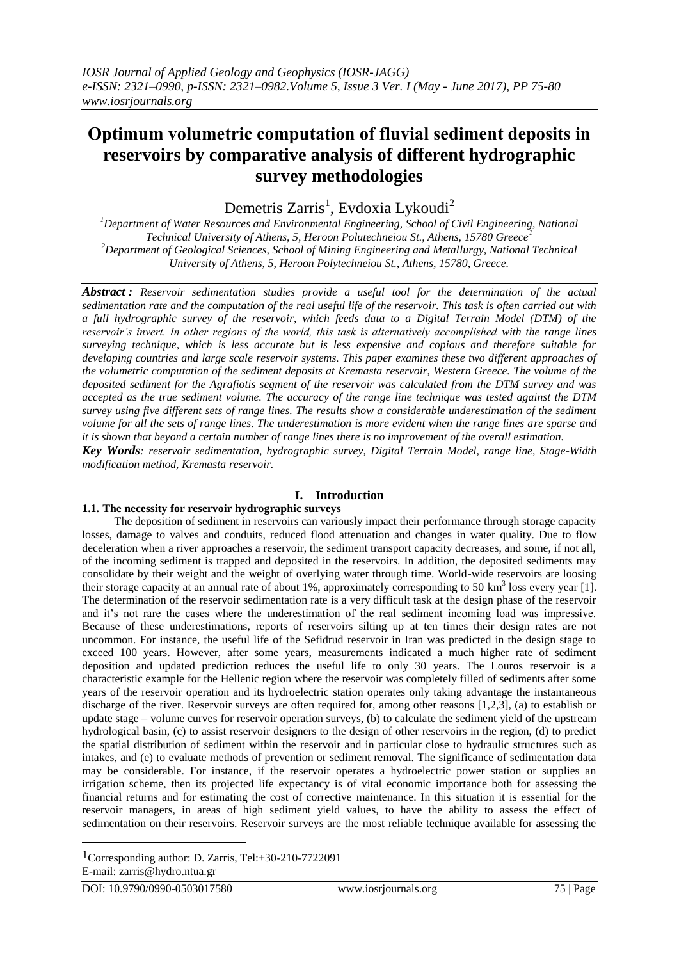# **Οptimum volumetric computation of fluvial sediment deposits in reservoirs by comparative analysis of different hydrographic survey methodologies**

Demetris Zarris<sup>1</sup>, Evdoxia Lykoudi<sup>2</sup>

*<sup>1</sup>Department of Water Resources and Environmental Engineering, School of Civil Engineering, National Technical University of Athens, 5, Heroon Polutechneiou St., Athens, 15780 Greece<sup>1</sup> <sup>2</sup>Department of Geological Sciences, School of Mining Engineering and Metallurgy, National Technical University of Athens, 5, Heroon Polytechneiou St., Athens, 15780, Greece.*

*Abstract : Reservoir sedimentation studies provide a useful tool for the determination of the actual sedimentation rate and the computation of the real useful life of the reservoir. This task is often carried out with a full hydrographic survey of the reservoir, which feeds data to a Digital Terrain Model (DTM) of the reservoir's invert. In other regions of the world, this task is alternatively accomplished with the range lines surveying technique, which is less accurate but is less expensive and copious and therefore suitable for developing countries and large scale reservoir systems. This paper examines these two different approaches of the volumetric computation of the sediment deposits at Kremasta reservoir, Western Greece. The volume of the deposited sediment for the Agrafiotis segment of the reservoir was calculated from the DTM survey and was accepted as the true sediment volume. The accuracy of the range line technique was tested against the DTM survey using five different sets of range lines. The results show a considerable underestimation of the sediment volume for all the sets of range lines. The underestimation is more evident when the range lines are sparse and it is shown that beyond a certain number of range lines there is no improvement of the overall estimation.*

*Key Words: reservoir sedimentation, hydrographic survey, Digital Terrain Model, range line, Stage-Width modification method, Kremasta reservoir.*

# **I. Introduction**

## **1.1. The necessity for reservoir hydrographic surveys**

The deposition of sediment in reservoirs can variously impact their performance through storage capacity losses, damage to valves and conduits, reduced flood attenuation and changes in water quality. Due to flow deceleration when a river approaches a reservoir, the sediment transport capacity decreases, and some, if not all, of the incoming sediment is trapped and deposited in the reservoirs. In addition, the deposited sediments may consolidate by their weight and the weight of overlying water through time. World-wide reservoirs are loosing their storage capacity at an annual rate of about 1%, approximately corresponding to 50  $\text{km}^3$  loss every year [1]. The determination of the reservoir sedimentation rate is a very difficult task at the design phase of the reservoir and it's not rare the cases where the underestimation of the real sediment incoming load was impressive. Because of these underestimations, reports of reservoirs silting up at ten times their design rates are not uncommon. For instance, the useful life of the Sefidrud reservoir in Iran was predicted in the design stage to exceed 100 years. However, after some years, measurements indicated a much higher rate of sediment deposition and updated prediction reduces the useful life to only 30 years. The Louros reservoir is a characteristic example for the Hellenic region where the reservoir was completely filled of sediments after some years of the reservoir operation and its hydroelectric station operates only taking advantage the instantaneous discharge of the river. Reservoir surveys are often required for, among other reasons [1,2,3], (a) to establish or update stage – volume curves for reservoir operation surveys, (b) to calculate the sediment yield of the upstream hydrological basin, (c) to assist reservoir designers to the design of other reservoirs in the region, (d) to predict the spatial distribution of sediment within the reservoir and in particular close to hydraulic structures such as intakes, and (e) to evaluate methods of prevention or sediment removal. The significance of sedimentation data may be considerable. For instance, if the reservoir operates a hydroelectric power station or supplies an irrigation scheme, then its projected life expectancy is of vital economic importance both for assessing the financial returns and for estimating the cost of corrective maintenance. In this situation it is essential for the reservoir managers, in areas of high sediment yield values, to have the ability to assess the effect of sedimentation on their reservoirs. Reservoir surveys are the most reliable technique available for assessing the

1Corresponding author: D. Zarris, Tel:+30-210-7722091 E-mail: zarris@hydro.ntua.gr

1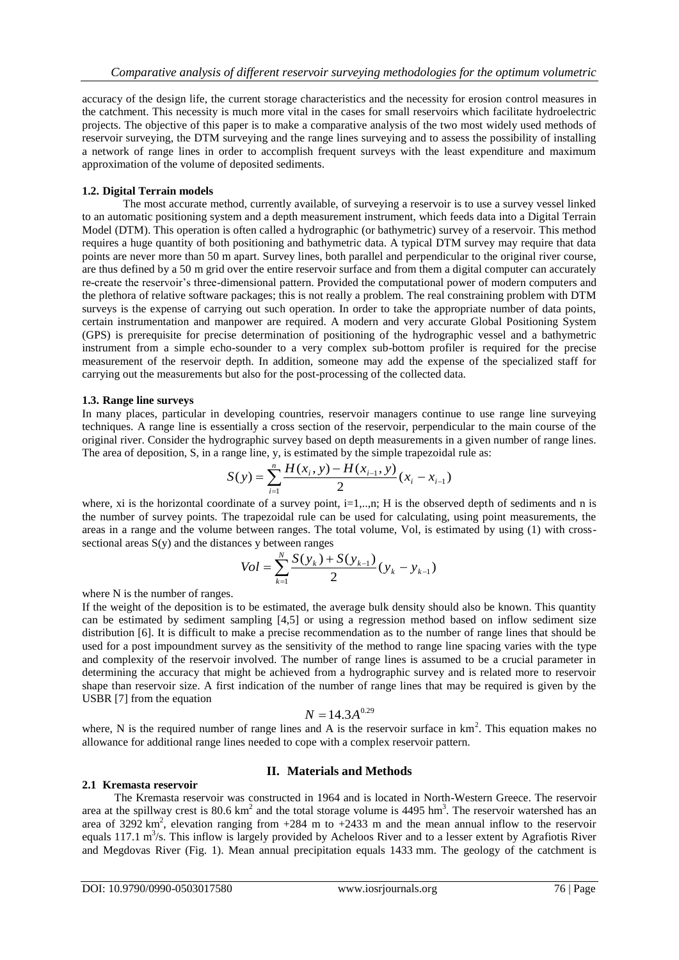accuracy of the design life, the current storage characteristics and the necessity for erosion control measures in the catchment. This necessity is much more vital in the cases for small reservoirs which facilitate hydroelectric projects. The objective of this paper is to make a comparative analysis of the two most widely used methods of reservoir surveying, the DTM surveying and the range lines surveying and to assess the possibility of installing a network of range lines in order to accomplish frequent surveys with the least expenditure and maximum approximation of the volume of deposited sediments.

### **1.2. Digital Terrain models**

The most accurate method, currently available, of surveying a reservoir is to use a survey vessel linked to an automatic positioning system and a depth measurement instrument, which feeds data into a Digital Terrain Model (DTM). This operation is often called a hydrographic (or bathymetric) survey of a reservoir. This method requires a huge quantity of both positioning and bathymetric data. A typical DTM survey may require that data points are never more than 50 m apart. Survey lines, both parallel and perpendicular to the original river course, are thus defined by a 50 m grid over the entire reservoir surface and from them a digital computer can accurately re-create the reservoir's three-dimensional pattern. Provided the computational power of modern computers and the plethora of relative software packages; this is not really a problem. The real constraining problem with DTM surveys is the expense of carrying out such operation. In order to take the appropriate number of data points, certain instrumentation and manpower are required. A modern and very accurate Global Positioning System (GPS) is prerequisite for precise determination of positioning of the hydrographic vessel and a bathymetric instrument from a simple echo-sounder to a very complex sub-bottom profiler is required for the precise measurement of the reservoir depth. In addition, someone may add the expense of the specialized staff for carrying out the measurements but also for the post-processing of the collected data.

#### **1.3. Range line surveys**

In many places, particular in developing countries, reservoir managers continue to use range line surveying techniques. A range line is essentially a cross section of the reservoir, perpendicular to the main course of the original river. Consider the hydrographic survey based on depth measurements in a given number of range lines. The area of deposition, S, in a range line, y, is estimated by the simple trapezoidal rule as:

$$
S(y) = \sum_{i=1}^{n} \frac{H(x_i, y) - H(x_{i-1}, y)}{2} (x_i - x_{i-1})
$$

where, xi is the horizontal coordinate of a survey point, i=1,..,n; H is the observed depth of sediments and n is the number of survey points. The trapezoidal rule can be used for calculating, using point measurements, the areas in a range and the volume between ranges. The total volume, Vol, is estimated by using (1) with crosssectional areas  $S(y)$  and the distances y between ranges

$$
Vol = \sum_{k=1}^{N} \frac{S(y_k) + S(y_{k-1})}{2} (y_k - y_{k-1})
$$

where N is the number of ranges.

If the weight of the deposition is to be estimated, the average bulk density should also be known. This quantity can be estimated by sediment sampling [4,5] or using a regression method based on inflow sediment size distribution [6]. It is difficult to make a precise recommendation as to the number of range lines that should be used for a post impoundment survey as the sensitivity of the method to range line spacing varies with the type and complexity of the reservoir involved. The number of range lines is assumed to be a crucial parameter in determining the accuracy that might be achieved from a hydrographic survey and is related more to reservoir shape than reservoir size. A first indication of the number of range lines that may be required is given by the USBR [7] from the equation

$$
N = 14.3 A^{0.29}
$$

where, N is the required number of range lines and A is the reservoir surface in  $km<sup>2</sup>$ . This equation makes no allowance for additional range lines needed to cope with a complex reservoir pattern.

## **II. Materials and Methods**

#### **2.1 Kremasta reservoir**

The Kremasta reservoir was constructed in 1964 and is located in North-Western Greece. The reservoir area at the spillway crest is  $80.6 \text{ km}^2$  and the total storage volume is  $4495 \text{ hm}^3$ . The reservoir watershed has an area of 3292 km<sup>2</sup>, elevation ranging from  $+284$  m to  $+2433$  m and the mean annual inflow to the reservoir equals 117.1  $\text{m}^3$ /s. This inflow is largely provided by Acheloos River and to a lesser extent by Agrafiotis River and Megdovas River (Fig. 1). Mean annual precipitation equals 1433 mm. The geology of the catchment is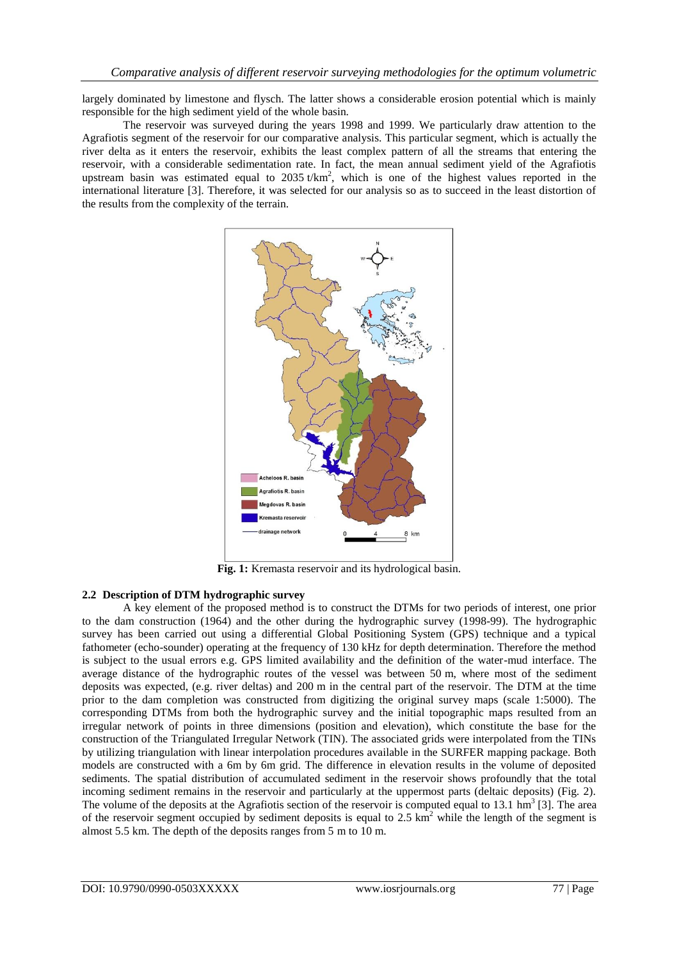largely dominated by limestone and flysch. The latter shows a considerable erosion potential which is mainly responsible for the high sediment yield of the whole basin.

The reservoir was surveyed during the years 1998 and 1999. We particularly draw attention to the Agrafiotis segment of the reservoir for our comparative analysis. This particular segment, which is actually the river delta as it enters the reservoir, exhibits the least complex pattern of all the streams that entering the reservoir, with a considerable sedimentation rate. In fact, the mean annual sediment yield of the Agrafiotis upstream basin was estimated equal to  $2035 t/km^2$ , which is one of the highest values reported in the international literature [3]. Therefore, it was selected for our analysis so as to succeed in the least distortion of the results from the complexity of the terrain.



**Fig. 1:** Kremasta reservoir and its hydrological basin.

#### **2.2 Description of DTM hydrographic survey**

A key element of the proposed method is to construct the DTMs for two periods of interest, one prior to the dam construction (1964) and the other during the hydrographic survey (1998-99). The hydrographic survey has been carried out using a differential Global Positioning System (GPS) technique and a typical fathometer (echo-sounder) operating at the frequency of 130 kHz for depth determination. Therefore the method is subject to the usual errors e.g. GPS limited availability and the definition of the water-mud interface. The average distance of the hydrographic routes of the vessel was between 50 m, where most of the sediment deposits was expected, (e.g. river deltas) and 200 m in the central part of the reservoir. The DTM at the time prior to the dam completion was constructed from digitizing the original survey maps (scale 1:5000). The corresponding DTMs from both the hydrographic survey and the initial topographic maps resulted from an irregular network of points in three dimensions (position and elevation), which constitute the base for the construction of the Triangulated Irregular Network (TIN). The associated grids were interpolated from the TINs by utilizing triangulation with linear interpolation procedures available in the SURFER mapping package. Both models are constructed with a 6m by 6m grid. The difference in elevation results in the volume of deposited sediments. The spatial distribution of accumulated sediment in the reservoir shows profoundly that the total incoming sediment remains in the reservoir and particularly at the uppermost parts (deltaic deposits) (Fig. 2). The volume of the deposits at the Agrafiotis section of the reservoir is computed equal to 13.1  $\text{hm}^3$  [3]. The area of the reservoir segment occupied by sediment deposits is equal to 2.5  $km^2$  while the length of the segment is almost 5.5 km. The depth of the deposits ranges from 5 m to 10 m.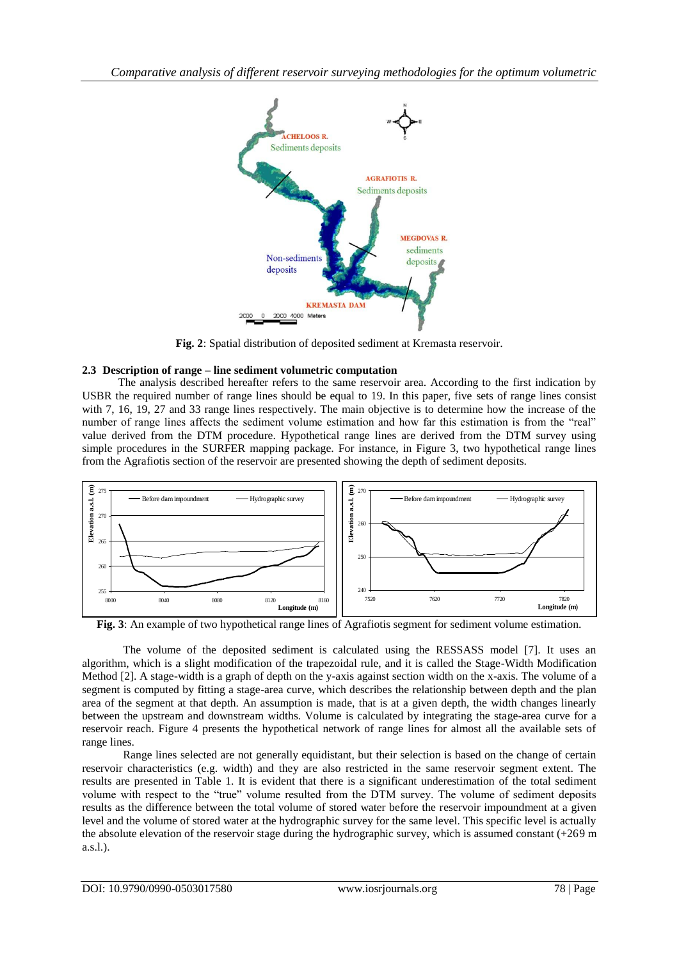

**Fig. 2**: Spatial distribution of deposited sediment at Kremasta reservoir.

## **2.3 Description of range – line sediment volumetric computation**

The analysis described hereafter refers to the same reservoir area. According to the first indication by USBR the required number of range lines should be equal to 19. In this paper, five sets of range lines consist with 7, 16, 19, 27 and 33 range lines respectively. The main objective is to determine how the increase of the number of range lines affects the sediment volume estimation and how far this estimation is from the "real" value derived from the DTM procedure. Hypothetical range lines are derived from the DTM survey using simple procedures in the SURFER mapping package. For instance, in Figure 3, two hypothetical range lines from the Agrafiotis section of the reservoir are presented showing the depth of sediment deposits.



**Fig. 3**: An example of two hypothetical range lines of Agrafiotis segment for sediment volume estimation.

The volume of the deposited sediment is calculated using the RESSASS model [7]. It uses an algorithm, which is a slight modification of the trapezoidal rule, and it is called the Stage-Width Modification Method [2]. A stage-width is a graph of depth on the y-axis against section width on the x-axis. The volume of a segment is computed by fitting a stage-area curve, which describes the relationship between depth and the plan area of the segment at that depth. An assumption is made, that is at a given depth, the width changes linearly between the upstream and downstream widths. Volume is calculated by integrating the stage-area curve for a reservoir reach. Figure 4 presents the hypothetical network of range lines for almost all the available sets of range lines.

Range lines selected are not generally equidistant, but their selection is based on the change of certain reservoir characteristics (e.g. width) and they are also restricted in the same reservoir segment extent. The results are presented in Table 1. It is evident that there is a significant underestimation of the total sediment volume with respect to the "true" volume resulted from the DTM survey. The volume of sediment deposits results as the difference between the total volume of stored water before the reservoir impoundment at a given level and the volume of stored water at the hydrographic survey for the same level. This specific level is actually the absolute elevation of the reservoir stage during the hydrographic survey, which is assumed constant (+269 m a.s.l.).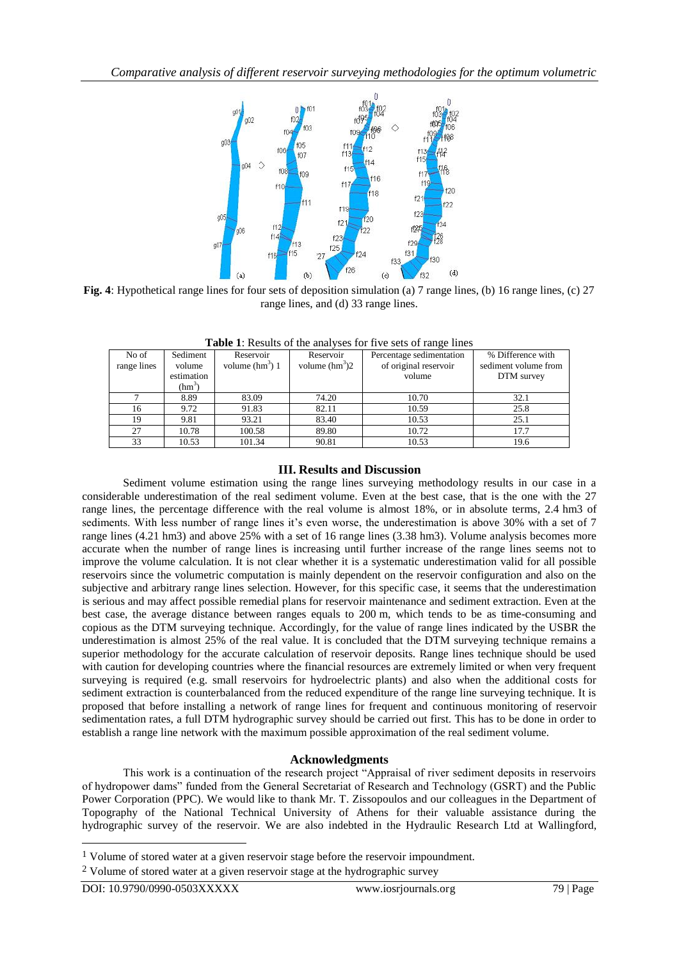

**Fig. 4**: Hypothetical range lines for four sets of deposition simulation (a) 7 range lines, (b) 16 range lines, (c) 27 range lines, and (d) 33 range lines.

| <b>THOICE.</b> Into the time all the form in the set of things inno |            |                   |                  |                          |                      |
|---------------------------------------------------------------------|------------|-------------------|------------------|--------------------------|----------------------|
| No of                                                               | Sediment   | Reservoir         | Reservoir        | Percentage sedimentation | % Difference with    |
| range lines                                                         | volume     | volume $(hm^3)$ 1 | volume $(hm^3)2$ | of original reservoir    | sediment volume from |
|                                                                     | estimation |                   |                  | volume                   | DTM survey           |
|                                                                     | $(hm^3)$   |                   |                  |                          |                      |
|                                                                     | 8.89       | 83.09             | 74.20            | 10.70                    | 32.1                 |
| 16                                                                  | 9.72       | 91.83             | 82.11            | 10.59                    | 25.8                 |
| 19                                                                  | 9.81       | 93.21             | 83.40            | 10.53                    | 25.1                 |
| 27                                                                  | 10.78      | 100.58            | 89.80            | 10.72                    | 17.7                 |
| 33                                                                  | 10.53      | 101.34            | 90.81            | 10.53                    | 19.6                 |

**Table 1**: Results of the analyses for five sets of range lines

## **III. Results and Discussion**

Sediment volume estimation using the range lines surveying methodology results in our case in a considerable underestimation of the real sediment volume. Even at the best case, that is the one with the 27 range lines, the percentage difference with the real volume is almost 18%, or in absolute terms, 2.4 hm3 of sediments. With less number of range lines it's even worse, the underestimation is above 30% with a set of 7 range lines (4.21 hm3) and above 25% with a set of 16 range lines (3.38 hm3). Volume analysis becomes more accurate when the number of range lines is increasing until further increase of the range lines seems not to improve the volume calculation. It is not clear whether it is a systematic underestimation valid for all possible reservoirs since the volumetric computation is mainly dependent on the reservoir configuration and also on the subjective and arbitrary range lines selection. However, for this specific case, it seems that the underestimation is serious and may affect possible remedial plans for reservoir maintenance and sediment extraction. Even at the best case, the average distance between ranges equals to 200 m, which tends to be as time-consuming and copious as the DTM surveying technique. Accordingly, for the value of range lines indicated by the USBR the underestimation is almost 25% of the real value. It is concluded that the DTM surveying technique remains a superior methodology for the accurate calculation of reservoir deposits. Range lines technique should be used with caution for developing countries where the financial resources are extremely limited or when very frequent surveying is required (e.g. small reservoirs for hydroelectric plants) and also when the additional costs for sediment extraction is counterbalanced from the reduced expenditure of the range line surveying technique. It is proposed that before installing a network of range lines for frequent and continuous monitoring of reservoir sedimentation rates, a full DTM hydrographic survey should be carried out first. This has to be done in order to establish a range line network with the maximum possible approximation of the real sediment volume.

## **Acknowledgments**

This work is a continuation of the research project "Appraisal of river sediment deposits in reservoirs of hydropower dams" funded from the General Secretariat of Research and Technology (GSRT) and the Public Power Corporation (PPC). We would like to thank Mr. T. Zissopoulos and our colleagues in the Department of Topography of the National Technical University of Athens for their valuable assistance during the hydrographic survey of the reservoir. We are also indebted in the Hydraulic Research Ltd at Wallingford,

1

<sup>1</sup> Volume of stored water at a given reservoir stage before the reservoir impoundment.

<sup>&</sup>lt;sup>2</sup> Volume of stored water at a given reservoir stage at the hydrographic survey